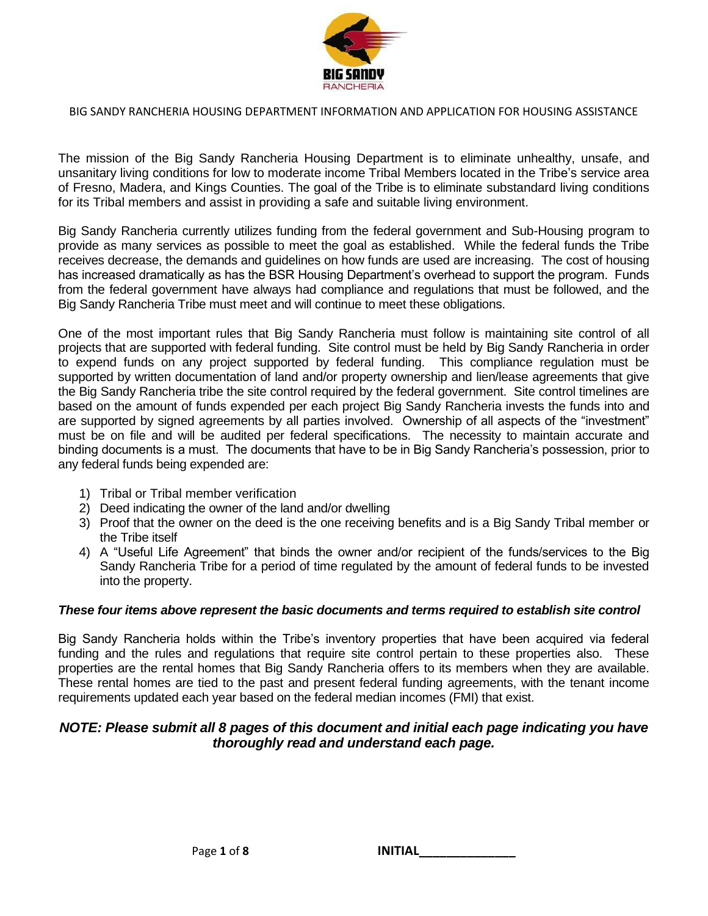

The mission of the Big Sandy Rancheria Housing Department is to eliminate unhealthy, unsafe, and unsanitary living conditions for low to moderate income Tribal Members located in the Tribe's service area of Fresno, Madera, and Kings Counties. The goal of the Tribe is to eliminate substandard living conditions for its Tribal members and assist in providing a safe and suitable living environment.

Big Sandy Rancheria currently utilizes funding from the federal government and Sub-Housing program to provide as many services as possible to meet the goal as established. While the federal funds the Tribe receives decrease, the demands and guidelines on how funds are used are increasing. The cost of housing has increased dramatically as has the BSR Housing Department's overhead to support the program. Funds from the federal government have always had compliance and regulations that must be followed, and the Big Sandy Rancheria Tribe must meet and will continue to meet these obligations.

One of the most important rules that Big Sandy Rancheria must follow is maintaining site control of all projects that are supported with federal funding. Site control must be held by Big Sandy Rancheria in order to expend funds on any project supported by federal funding. This compliance regulation must be supported by written documentation of land and/or property ownership and lien/lease agreements that give the Big Sandy Rancheria tribe the site control required by the federal government. Site control timelines are based on the amount of funds expended per each project Big Sandy Rancheria invests the funds into and are supported by signed agreements by all parties involved. Ownership of all aspects of the "investment" must be on file and will be audited per federal specifications. The necessity to maintain accurate and binding documents is a must. The documents that have to be in Big Sandy Rancheria's possession, prior to any federal funds being expended are:

- 1) Tribal or Tribal member verification
- 2) Deed indicating the owner of the land and/or dwelling
- 3) Proof that the owner on the deed is the one receiving benefits and is a Big Sandy Tribal member or the Tribe itself
- 4) A "Useful Life Agreement" that binds the owner and/or recipient of the funds/services to the Big Sandy Rancheria Tribe for a period of time regulated by the amount of federal funds to be invested into the property.

### *These four items above represent the basic documents and terms required to establish site control*

Big Sandy Rancheria holds within the Tribe's inventory properties that have been acquired via federal funding and the rules and regulations that require site control pertain to these properties also. These properties are the rental homes that Big Sandy Rancheria offers to its members when they are available. These rental homes are tied to the past and present federal funding agreements, with the tenant income requirements updated each year based on the federal median incomes (FMI) that exist.

## *NOTE: Please submit all 8 pages of this document and initial each page indicating you have thoroughly read and understand each page.*

Page **1** of **8 INITIAL\_\_\_\_\_\_\_\_\_\_\_\_\_\_**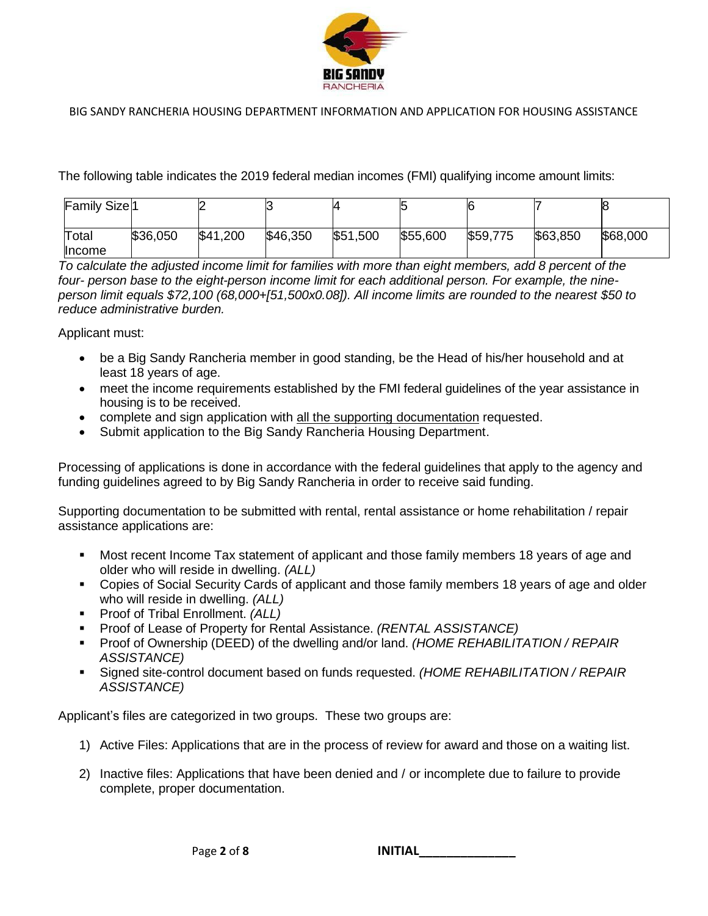

The following table indicates the 2019 federal median incomes (FMI) qualifying income amount limits:

| <b>Family Size</b> <sup>1</sup> |          |          |          |          |          | 6        |          | 8        |
|---------------------------------|----------|----------|----------|----------|----------|----------|----------|----------|
| Total<br><b>Income</b>          | \$36,050 | \$41,200 | \$46,350 | \$51,500 | \$55,600 | \$59,775 | \$63,850 | \$68,000 |

*To calculate the adjusted income limit for families with more than eight members, add 8 percent of the four- person base to the eight-person income limit for each additional person. For example, the nineperson limit equals \$72,100 (68,000+[51,500x0.08]). All income limits are rounded to the nearest \$50 to reduce administrative burden.*

Applicant must:

- be a Big Sandy Rancheria member in good standing, be the Head of his/her household and at least 18 years of age.
- meet the income requirements established by the FMI federal guidelines of the year assistance in housing is to be received.
- complete and sign application with all the supporting documentation requested.
- Submit application to the Big Sandy Rancheria Housing Department.

Processing of applications is done in accordance with the federal guidelines that apply to the agency and funding guidelines agreed to by Big Sandy Rancheria in order to receive said funding.

Supporting documentation to be submitted with rental, rental assistance or home rehabilitation / repair assistance applications are:

- Most recent Income Tax statement of applicant and those family members 18 years of age and older who will reside in dwelling. *(ALL)*
- Copies of Social Security Cards of applicant and those family members 18 years of age and older who will reside in dwelling. *(ALL)*
- Proof of Tribal Enrollment. *(ALL)*
- Proof of Lease of Property for Rental Assistance. *(RENTAL ASSISTANCE)*
- Proof of Ownership (DEED) of the dwelling and/or land. *(HOME REHABILITATION / REPAIR ASSISTANCE)*
- Signed site-control document based on funds requested. *(HOME REHABILITATION / REPAIR ASSISTANCE)*

Applicant's files are categorized in two groups. These two groups are:

- 1) Active Files: Applications that are in the process of review for award and those on a waiting list.
- 2) Inactive files: Applications that have been denied and / or incomplete due to failure to provide complete, proper documentation.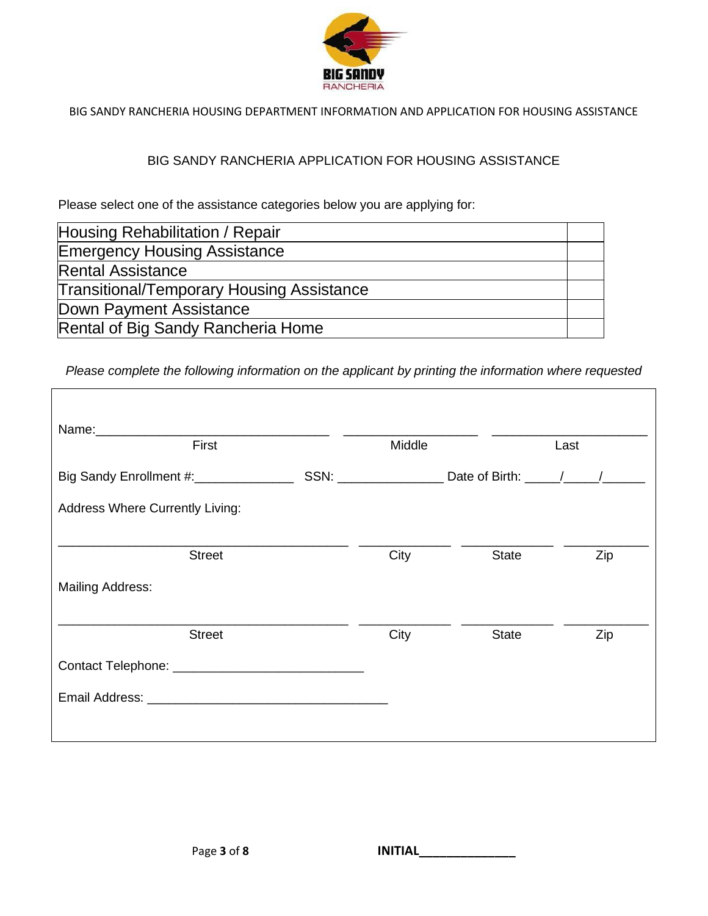

## BIG SANDY RANCHERIA APPLICATION FOR HOUSING ASSISTANCE

Please select one of the assistance categories below you are applying for:

| Housing Rehabilitation / Repair                  |  |
|--------------------------------------------------|--|
| <b>Emergency Housing Assistance</b>              |  |
| <b>Rental Assistance</b>                         |  |
| <b>Transitional/Temporary Housing Assistance</b> |  |
| Down Payment Assistance                          |  |
| Rental of Big Sandy Rancheria Home               |  |
|                                                  |  |

*Please complete the following information on the applicant by printing the information where requested*

| Name: We have a state of the state of the state of the state of the state of the state of the state of the state of the state of the state of the state of the state of the state of the state of the state of the state of th<br>First |  | Middle |              | Last |  |
|-----------------------------------------------------------------------------------------------------------------------------------------------------------------------------------------------------------------------------------------|--|--------|--------------|------|--|
| Big Sandy Enrollment #: ________________                                                                                                                                                                                                |  |        |              |      |  |
| <b>Address Where Currently Living:</b>                                                                                                                                                                                                  |  |        |              |      |  |
| <b>Street</b>                                                                                                                                                                                                                           |  | City   | <b>State</b> | Zip  |  |
| <b>Mailing Address:</b>                                                                                                                                                                                                                 |  |        |              |      |  |
| <b>Street</b>                                                                                                                                                                                                                           |  | City   | <b>State</b> | Zip  |  |
|                                                                                                                                                                                                                                         |  |        |              |      |  |
|                                                                                                                                                                                                                                         |  |        |              |      |  |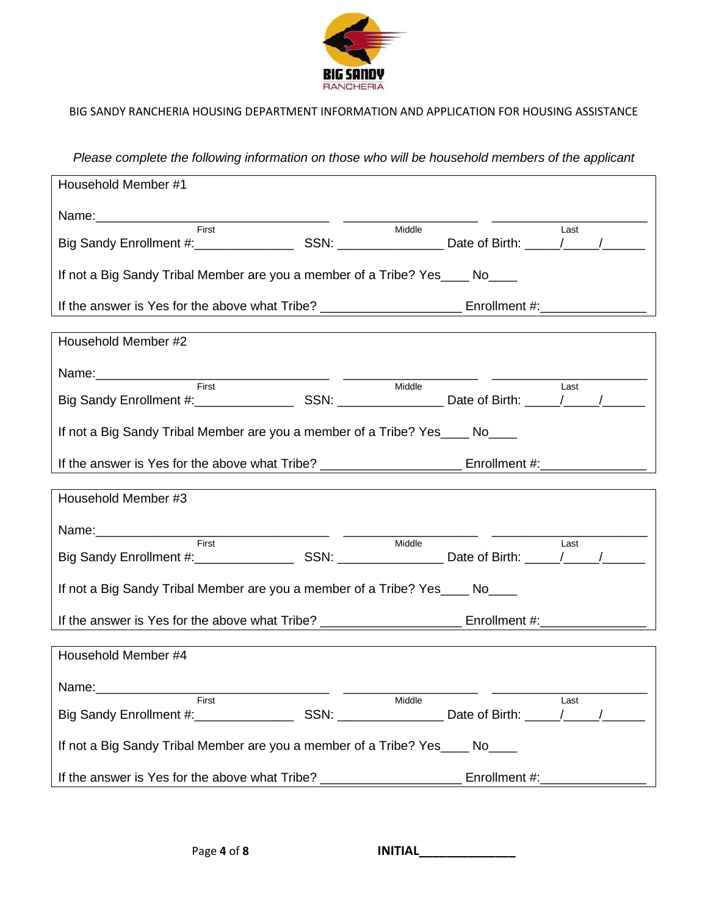

*Please complete the following information on those who will be household members of the applicant*

| Household Member #1                                                          |        |      |
|------------------------------------------------------------------------------|--------|------|
|                                                                              |        |      |
| First                                                                        | Middle | Last |
| If not a Big Sandy Tribal Member are you a member of a Tribe? Yes____ No____ |        |      |
|                                                                              |        |      |
| Household Member #2                                                          |        |      |
|                                                                              |        |      |
|                                                                              | Middle | Last |
| If not a Big Sandy Tribal Member are you a member of a Tribe? Yes____ No____ |        |      |
|                                                                              |        |      |
| Household Member #3                                                          |        |      |
|                                                                              |        |      |
|                                                                              | Middle | Last |
| If not a Big Sandy Tribal Member are you a member of a Tribe? Yes____ No____ |        |      |
|                                                                              |        |      |
| Household Member #4                                                          |        |      |
|                                                                              |        |      |
| First First <b>First</b>                                                     | Middle | Last |
| If not a Big Sandy Tribal Member are you a member of a Tribe? Yes____ No____ |        |      |
|                                                                              |        |      |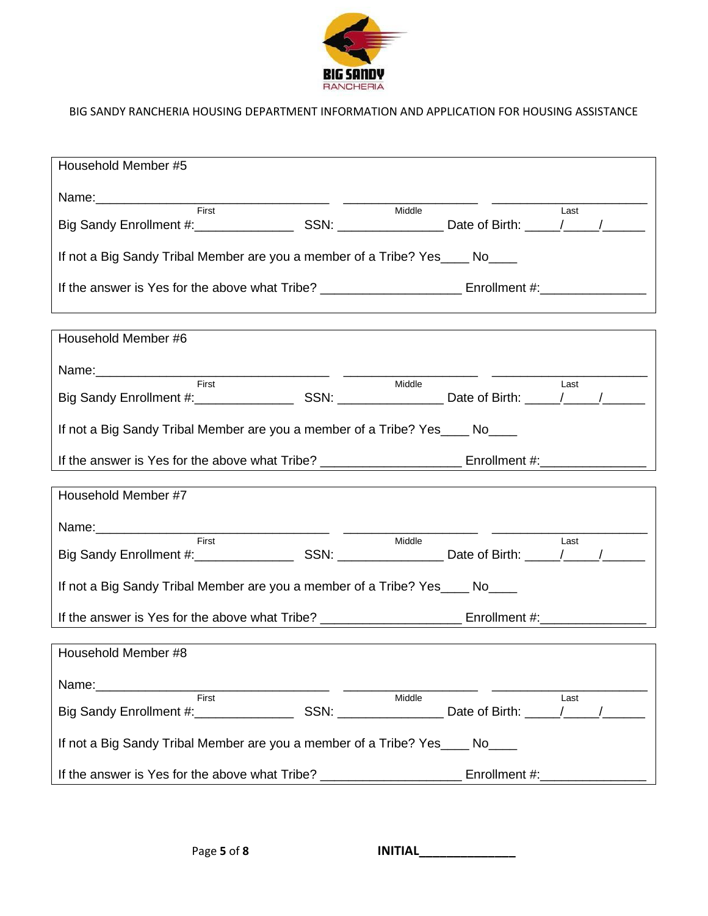

| Household Member #5                                                              |                                      |
|----------------------------------------------------------------------------------|--------------------------------------|
|                                                                                  |                                      |
| Middle                                                                           | Last                                 |
| If not a Big Sandy Tribal Member are you a member of a Tribe? Yes____ No____     |                                      |
| ,我们也不会有什么?""我们的人,我们也不会有什么?""我们的人,我们也不会有什么?""我们的人,我们也不会有什么?""我们的人,我们也不会有什么?""我们的人 |                                      |
| Household Member #6                                                              |                                      |
|                                                                                  |                                      |
| Middle                                                                           | Last                                 |
| If not a Big Sandy Tribal Member are you a member of a Tribe? Yes____ No____     |                                      |
|                                                                                  |                                      |
| Household Member #7                                                              |                                      |
|                                                                                  |                                      |
| First<br>Middle                                                                  | Last                                 |
| If not a Big Sandy Tribal Member are you a member of a Tribe? Yes____ No____     |                                      |
|                                                                                  |                                      |
| Household Member #8                                                              |                                      |
| Name:                                                                            |                                      |
| First<br>Middle                                                                  | Last<br>Date of Birth: \[\sqrtdgg \] |
| If not a Big Sandy Tribal Member are you a member of a Tribe? Yes____ No____     |                                      |
| If the answer is Yes for the above what Tribe? _________________________________ | Enrollment #:____________            |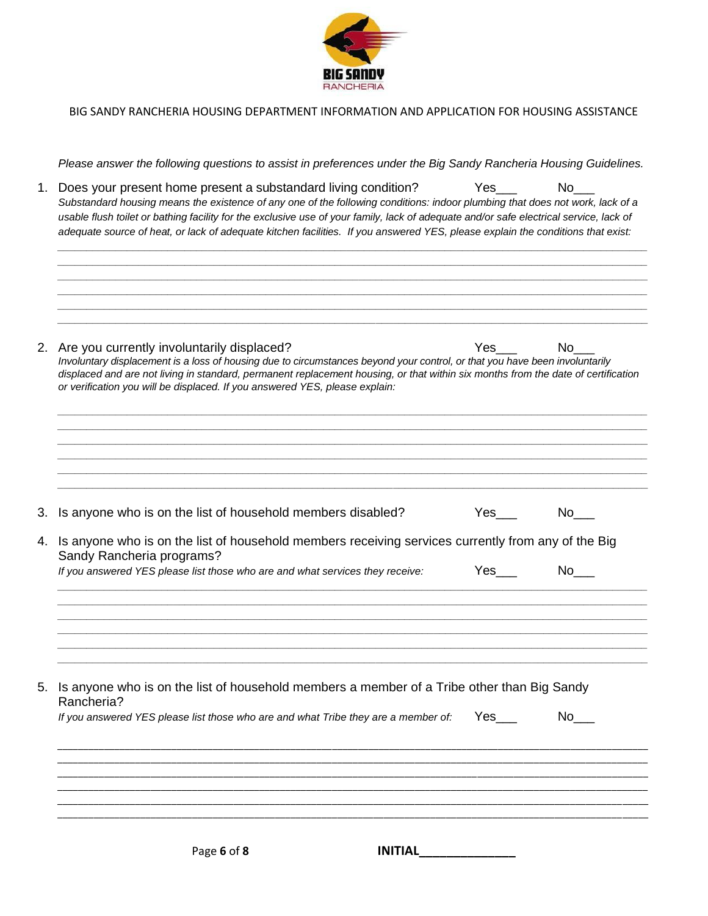

*Please answer the following questions to assist in preferences under the Big Sandy Rancheria Housing Guidelines.*

*\_\_\_\_\_\_\_\_\_\_\_\_\_\_\_\_\_\_\_\_\_\_\_\_\_\_\_\_\_\_\_\_\_\_\_\_\_\_\_\_\_\_\_\_\_\_\_\_\_\_\_\_\_\_\_\_\_\_\_\_\_\_\_\_\_\_\_\_\_\_\_\_\_\_\_\_\_\_\_\_\_\_\_\_\_\_\_\_\_\_\_\_\_\_\_\_\_\_\_\_\_\_ \_\_\_\_\_\_\_\_\_\_\_\_\_\_\_\_\_\_\_\_\_\_\_\_\_\_\_\_\_\_\_\_\_\_\_\_\_\_\_\_\_\_\_\_\_\_\_\_\_\_\_\_\_\_\_\_\_\_\_\_\_\_\_\_\_\_\_\_\_\_\_\_\_\_\_\_\_\_\_\_\_\_\_\_\_\_\_\_\_\_\_\_\_\_\_\_\_\_\_\_\_\_ \_\_\_\_\_\_\_\_\_\_\_\_\_\_\_\_\_\_\_\_\_\_\_\_\_\_\_\_\_\_\_\_\_\_\_\_\_\_\_\_\_\_\_\_\_\_\_\_\_\_\_\_\_\_\_\_\_\_\_\_\_\_\_\_\_\_\_\_\_\_\_\_\_\_\_\_\_\_\_\_\_\_\_\_\_\_\_\_\_\_\_\_\_\_\_\_\_\_\_\_\_\_*

1. Does your present home present a substandard living condition? Yes\_\_\_ No\_ Substandard housing means the existence of any one of the following conditions: indoor plumbing that does not work, lack of a usable flush toilet or bathing facility for the exclusive use of your family, lack of adequate and/or safe electrical service, lack of *adequate source of heat, or lack of adequate kitchen facilities. If you answered YES, please explain the conditions that exist: \_\_\_\_\_\_\_\_\_\_\_\_\_\_\_\_\_\_\_\_\_\_\_\_\_\_\_\_\_\_\_\_\_\_\_\_\_\_\_\_\_\_\_\_\_\_\_\_\_\_\_\_\_\_\_\_\_\_\_\_\_\_\_\_\_\_\_\_\_\_\_\_\_\_\_\_\_\_\_\_\_\_\_\_\_\_\_\_\_\_\_\_\_\_\_\_\_\_\_\_\_\_*

|    | 2. Are you currently involuntarily displaced?<br><b>Yes</b><br>No.                                                                                                                                                                                                                                                                              |
|----|-------------------------------------------------------------------------------------------------------------------------------------------------------------------------------------------------------------------------------------------------------------------------------------------------------------------------------------------------|
|    | Involuntary displacement is a loss of housing due to circumstances beyond your control, or that you have been involuntarily<br>displaced and are not living in standard, permanent replacement housing, or that within six months from the date of certification<br>or verification you will be displaced. If you answered YES, please explain: |
|    |                                                                                                                                                                                                                                                                                                                                                 |
| 3. | Is anyone who is on the list of household members disabled?<br>Yes<br>No l                                                                                                                                                                                                                                                                      |
| 4. | Is anyone who is on the list of household members receiving services currently from any of the Big<br>Sandy Rancheria programs?                                                                                                                                                                                                                 |
|    | Yes<br>No l<br>If you answered YES please list those who are and what services they receive:                                                                                                                                                                                                                                                    |
|    |                                                                                                                                                                                                                                                                                                                                                 |
|    | 5. Is anyone who is on the list of household members a member of a Tribe other than Big Sandy<br>Rancheria?                                                                                                                                                                                                                                     |
|    | Yes<br>No<br>If you answered YES please list those who are and what Tribe they are a member of:                                                                                                                                                                                                                                                 |
|    |                                                                                                                                                                                                                                                                                                                                                 |
|    |                                                                                                                                                                                                                                                                                                                                                 |
|    |                                                                                                                                                                                                                                                                                                                                                 |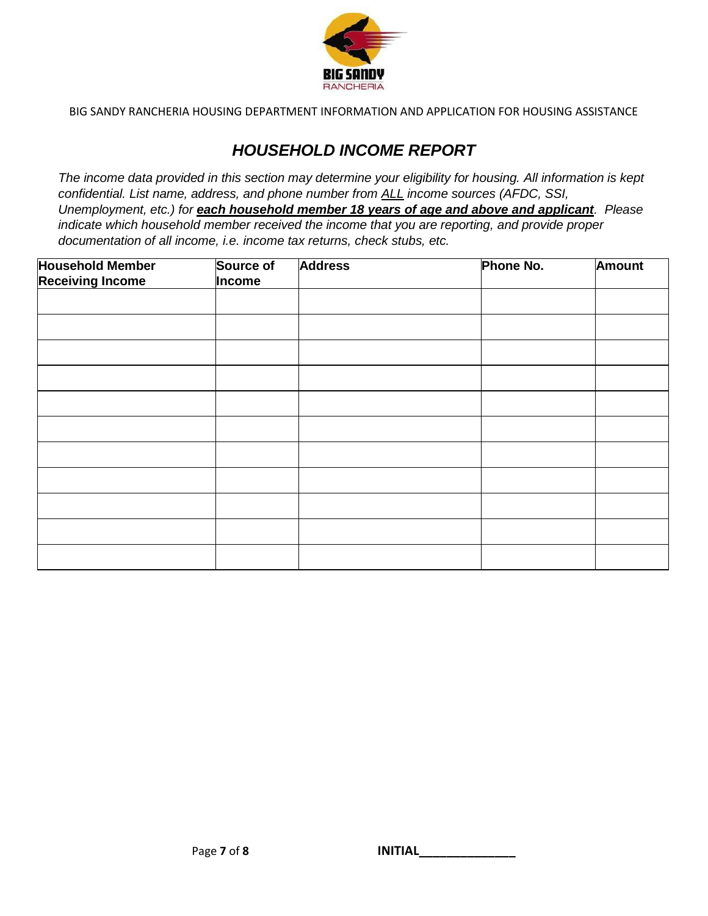

# *HOUSEHOLD INCOME REPORT*

*The income data provided in this section may determine your eligibility for housing. All information is kept confidential. List name, address, and phone number from ALL income sources (AFDC, SSI, Unemployment, etc.) for each household member 18 years of age and above and applicant. Please indicate which household member received the income that you are reporting, and provide proper documentation of all income, i.e. income tax returns, check stubs, etc.*

| <b>Household Member</b> | Source of | <b>Address</b> | Phone No. | <b>Amount</b> |
|-------------------------|-----------|----------------|-----------|---------------|
| <b>Receiving Income</b> | Income    |                |           |               |
|                         |           |                |           |               |
|                         |           |                |           |               |
|                         |           |                |           |               |
|                         |           |                |           |               |
|                         |           |                |           |               |
|                         |           |                |           |               |
|                         |           |                |           |               |
|                         |           |                |           |               |
|                         |           |                |           |               |
|                         |           |                |           |               |
|                         |           |                |           |               |